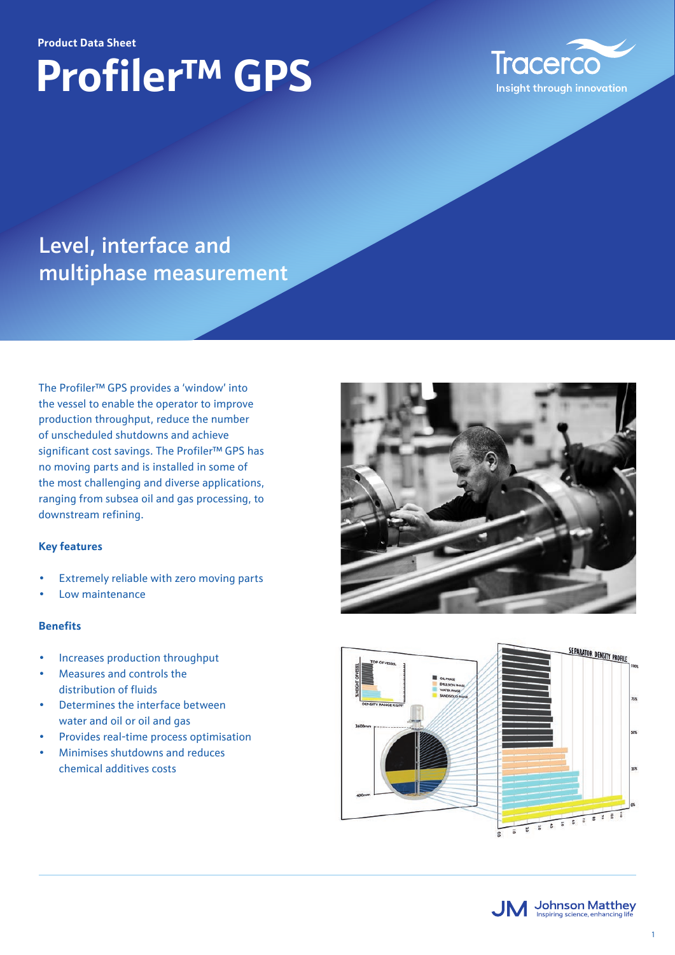#### **Product Data Sheet**

# **Profiler™ GPS**



### Level, interface and multiphase measurement

The Profiler™ GPS provides a 'window' into the vessel to enable the operator to improve production throughput, reduce the number of unscheduled shutdowns and achieve significant cost savings. The Profiler™ GPS has no moving parts and is installed in some of the most challenging and diverse applications, ranging from subsea oil and gas processing, to downstream refining.

#### **Key features**

- Extremely reliable with zero moving parts
- Low maintenance

#### **Benefits**

- Increases production throughput
- Measures and controls the distribution of fluids
- Determines the interface between water and oil or oil and gas
- Provides real-time process optimisation
- Minimises shutdowns and reduces chemical additives costs